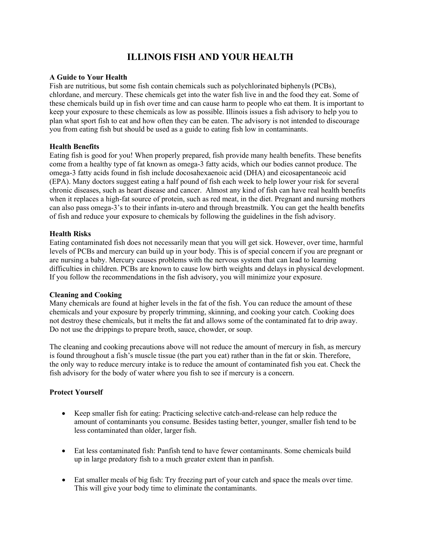# **ILLINOIS FISH AND YOUR HEALTH**

## **A Guide to Your Health**

Fish are nutritious, but some fish contain chemicals such as polychlorinated biphenyls (PCBs), chlordane, and mercury. These chemicals get into the water fish live in and the food they eat. Some of these chemicals build up in fish over time and can cause harm to people who eat them. It is important to keep your exposure to these chemicals as low as possible. Illinois issues a fish advisory to help you to plan what sport fish to eat and how often they can be eaten. The advisory is not intended to discourage you from eating fish but should be used as a guide to eating fish low in contaminants.

## **Health Benefits**

Eating fish is good for you! When properly prepared, fish provide many health benefits. These benefits come from a healthy type of fat known as omega-3 fatty acids, which our bodies cannot produce. The omega-3 fatty acids found in fish include docosahexaenoic acid (DHA) and eicosapentaneoic acid (EPA). Many doctors suggest eating a half pound of fish each week to help lower your risk for several chronic diseases, such as heart disease and cancer. Almost any kind of fish can have real health benefits when it replaces a high-fat source of protein, such as red meat, in the diet. Pregnant and nursing mothers can also pass omega-3's to their infants in-utero and through breastmilk. You can get the health benefits of fish and reduce your exposure to chemicals by following the guidelines in the fish advisory.

## **Health Risks**

Eating contaminated fish does not necessarily mean that you will get sick. However, over time, harmful levels of PCBs and mercury can build up in your body. This is of special concern if you are pregnant or are nursing a baby. Mercury causes problems with the nervous system that can lead to learning difficulties in children. PCBs are known to cause low birth weights and delays in physical development. If you follow the recommendations in the fish advisory, you will minimize your exposure.

#### **Cleaning and Cooking**

Many chemicals are found at higher levels in the fat of the fish. You can reduce the amount of these chemicals and your exposure by properly trimming, skinning, and cooking your catch. Cooking does not destroy these chemicals, but it melts the fat and allows some of the contaminated fat to drip away. Do not use the drippings to prepare broth, sauce, chowder, or soup.

The cleaning and cooking precautions above will not reduce the amount of mercury in fish, as mercury is found throughout a fish's muscle tissue (the part you eat) rather than in the fat or skin. Therefore, the only way to reduce mercury intake is to reduce the amount of contaminated fish you eat. Check the fish advisory for the body of water where you fish to see if mercury is a concern.

# **Protect Yourself**

- Keep smaller fish for eating: Practicing selective catch-and-release can help reduce the amount of contaminants you consume. Besides tasting better, younger, smaller fish tend to be less contaminated than older, larger fish.
- Eat less contaminated fish: Panfish tend to have fewer contaminants. Some chemicals build up in large predatory fish to a much greater extent than in panfish.
- Eat smaller meals of big fish: Try freezing part of your catch and space the meals over time. This will give your body time to eliminate the contaminants.